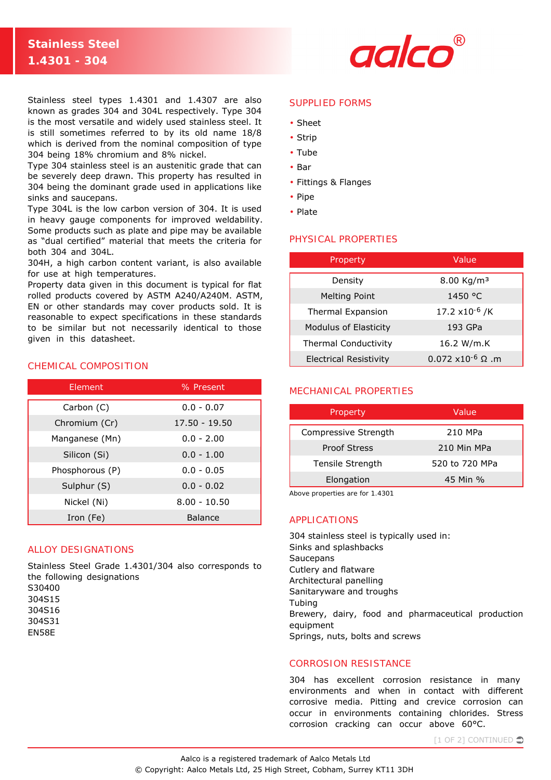# **Stainless Steel 1.4301 - 304**



Stainless steel types 1.4301 and 1.4307 are also known as grades 304 and 304L respectively. Type 304 is the most versatile and widely used stainless steel. It is still sometimes referred to by its old name 18/8 which is derived from the nominal composition of type 304 being 18% chromium and 8% nickel.

Type 304 stainless steel is an austenitic grade that can be severely deep drawn. This property has resulted in 304 being the dominant grade used in applications like sinks and saucepans.

Type 304L is the low carbon version of 304. It is used in heavy gauge components for improved weldability. Some products such as plate and pipe may be available as "dual certified" material that meets the criteria for both 304 and 304L.

304H, a high carbon content variant, is also available for use at high temperatures.

Property data given in this document is typical for flat rolled products covered by ASTM A240/A240M. ASTM, EN or other standards may cover products sold. It is reasonable to expect specifications in these standards to be similar but not necessarily identical to those given in this datasheet.

## CHEMICAL COMPOSITION

| Element         | % Present      |  |
|-----------------|----------------|--|
| Carbon (C)      | $0.0 - 0.07$   |  |
| Chromium (Cr)   | 17.50 - 19.50  |  |
| Manganese (Mn)  | $0.0 - 2.00$   |  |
| Silicon (Si)    | $0.0 - 1.00$   |  |
| Phosphorous (P) | $0.0 - 0.05$   |  |
| Sulphur (S)     | $0.0 - 0.02$   |  |
| Nickel (Ni)     | $8.00 - 10.50$ |  |
| Iron (Fe)       | <b>Balance</b> |  |

# ALLOY DESIGNATIONS

Stainless Steel Grade 1.4301/304 also corresponds to the following designations S30400 304S15 304S16

- 304S31
- EN58E

#### SUPPLIED FORMS

- Sheet
- Strip
- Tube
- Bar
- Fittings & Flanges
- Pipe
- Plate

## PHYSICAL PROPERTIES

| Property                      | Value                          |  |
|-------------------------------|--------------------------------|--|
| Density                       | 8.00 Kg/m <sup>3</sup>         |  |
| <b>Melting Point</b>          | 1450 °C                        |  |
| <b>Thermal Expansion</b>      | 17.2 x10 <sup>-6</sup> /K      |  |
| Modulus of Elasticity         | 193 GPa                        |  |
| <b>Thermal Conductivity</b>   | 16.2 W/m.K                     |  |
| <b>Electrical Resistivity</b> | $0.072$ x10 <sup>-6</sup> Ω .m |  |

# MECHANICAL PROPERTIES

| Property             | Value          |
|----------------------|----------------|
| Compressive Strength | 210 MPa        |
| <b>Proof Stress</b>  | 210 Min MPa    |
| Tensile Strength     | 520 to 720 MPa |
| Elongation           | 45 Min %       |

*Above properties are for 1.4301*

#### APPLICATIONS

304 stainless steel is typically used in: Sinks and splashbacks **Saucepans** Cutlery and flatware Architectural panelling Sanitaryware and troughs Tubing Brewery, dairy, food and pharmaceutical production equipment Springs, nuts, bolts and screws

# CORROSION RESISTANCE

304 has excellent corrosion resistance in many environments and when in contact with different corrosive media. Pitting and crevice corrosion can occur in environments containing chlorides. Stress corrosion cracking can occur above 60°C.